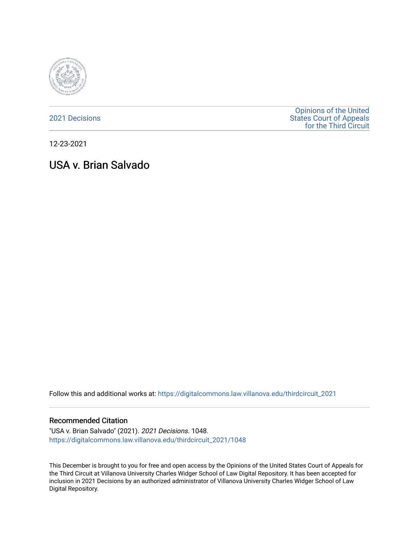

[2021 Decisions](https://digitalcommons.law.villanova.edu/thirdcircuit_2021)

[Opinions of the United](https://digitalcommons.law.villanova.edu/thirdcircuit)  [States Court of Appeals](https://digitalcommons.law.villanova.edu/thirdcircuit)  [for the Third Circuit](https://digitalcommons.law.villanova.edu/thirdcircuit) 

12-23-2021

# USA v. Brian Salvado

Follow this and additional works at: [https://digitalcommons.law.villanova.edu/thirdcircuit\\_2021](https://digitalcommons.law.villanova.edu/thirdcircuit_2021?utm_source=digitalcommons.law.villanova.edu%2Fthirdcircuit_2021%2F1048&utm_medium=PDF&utm_campaign=PDFCoverPages) 

#### Recommended Citation

"USA v. Brian Salvado" (2021). 2021 Decisions. 1048. [https://digitalcommons.law.villanova.edu/thirdcircuit\\_2021/1048](https://digitalcommons.law.villanova.edu/thirdcircuit_2021/1048?utm_source=digitalcommons.law.villanova.edu%2Fthirdcircuit_2021%2F1048&utm_medium=PDF&utm_campaign=PDFCoverPages) 

This December is brought to you for free and open access by the Opinions of the United States Court of Appeals for the Third Circuit at Villanova University Charles Widger School of Law Digital Repository. It has been accepted for inclusion in 2021 Decisions by an authorized administrator of Villanova University Charles Widger School of Law Digital Repository.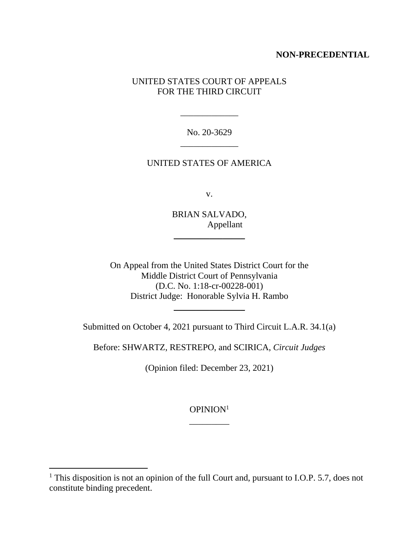# **NON-PRECEDENTIAL**

# UNITED STATES COURT OF APPEALS FOR THE THIRD CIRCUIT

No. 20-3629 \_\_\_\_\_\_\_\_\_\_\_\_\_

\_\_\_\_\_\_\_\_\_\_\_\_\_

# UNITED STATES OF AMERICA

v.

BRIAN SALVADO, Appellant

 $\frac{1}{2}$  , where  $\frac{1}{2}$  , where  $\frac{1}{2}$ 

On Appeal from the United States District Court for the Middle District Court of Pennsylvania (D.C. No. 1:18-cr-00228-001) District Judge: Honorable Sylvia H. Rambo

Submitted on October 4, 2021 pursuant to Third Circuit L.A.R. 34.1(a)

 $\frac{1}{2}$  , where  $\frac{1}{2}$  , where  $\frac{1}{2}$ 

Before: SHWARTZ, RESTREPO, and SCIRICA, *Circuit Judges*

(Opinion filed: December 23, 2021)

OPINION<sup>1</sup> \_\_\_\_\_\_\_\_\_

<sup>&</sup>lt;sup>1</sup> This disposition is not an opinion of the full Court and, pursuant to I.O.P. 5.7, does not constitute binding precedent.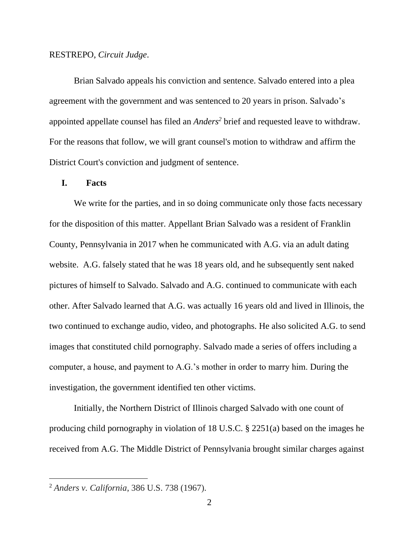#### RESTREPO, *Circuit Judge*.

Brian Salvado appeals his conviction and sentence. Salvado entered into a plea agreement with the government and was sentenced to 20 years in prison. Salvado's appointed appellate counsel has filed an *Anders<sup>2</sup>* brief and requested leave to withdraw. For the reasons that follow, we will grant counsel's motion to withdraw and affirm the District Court's conviction and judgment of sentence.

#### **I. Facts**

We write for the parties, and in so doing communicate only those facts necessary for the disposition of this matter. Appellant Brian Salvado was a resident of Franklin County, Pennsylvania in 2017 when he communicated with A.G. via an adult dating website. A.G. falsely stated that he was 18 years old, and he subsequently sent naked pictures of himself to Salvado. Salvado and A.G. continued to communicate with each other. After Salvado learned that A.G. was actually 16 years old and lived in Illinois, the two continued to exchange audio, video, and photographs. He also solicited A.G. to send images that constituted child pornography. Salvado made a series of offers including a computer, a house, and payment to A.G.'s mother in order to marry him. During the investigation, the government identified ten other victims.

Initially, the Northern District of Illinois charged Salvado with one count of producing child pornography in violation of 18 U.S.C. § 2251(a) based on the images he received from A.G. The Middle District of Pennsylvania brought similar charges against

<sup>2</sup> *Anders v. California*, [386 U.S. 738 \(1967\).](https://plus.lexis.com/document/?pdmfid=1530671&crid=67573ae8-fc27-4cff-aeee-0fb21660b6eb&pddocfullpath=%2Fshared%2Fdocument%2Fcases%2Furn%3AcontentItem%3A63XX-NM91-JT99-24DC-00000-00&pdcontentcomponentid=6387&pdteaserkey=&pdislpamode=false&pdworkfolderlocatorid=NOT_SAVED_IN_WORKFOLDER&ecomp=hf4k&earg=sr0&prid=a3975542-0c64-4ada-92ac-3e9fe839fd3b)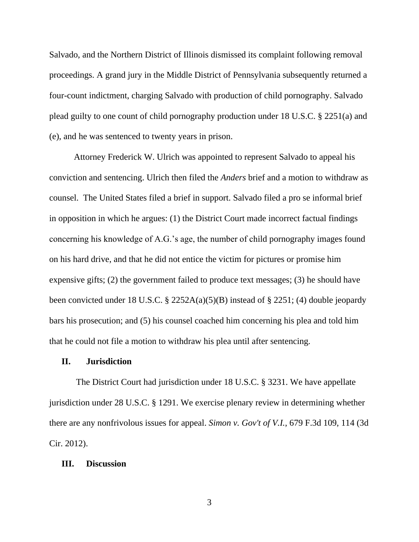Salvado, and the Northern District of Illinois dismissed its complaint following removal proceedings. A grand jury in the Middle District of Pennsylvania subsequently returned a four-count indictment, charging Salvado with production of child pornography. Salvado plead guilty to one count of child pornography production under 18 U.S.C. § 2251(a) and (e), and he was sentenced to twenty years in prison.

Attorney Frederick W. Ulrich was appointed to represent Salvado to appeal his conviction and sentencing. Ulrich then filed the *Anders* brief and a motion to withdraw as counsel. The United States filed a brief in support. Salvado filed a pro se informal brief in opposition in which he argues: (1) the District Court made incorrect factual findings concerning his knowledge of A.G.'s age, the number of child pornography images found on his hard drive, and that he did not entice the victim for pictures or promise him expensive gifts; (2) the government failed to produce text messages; (3) he should have been convicted under 18 U.S.C. § 2252A(a)(5)(B) instead of § 2251; (4) double jeopardy bars his prosecution; and (5) his counsel coached him concerning his plea and told him that he could not file a motion to withdraw his plea until after sentencing*.*

# **II. Jurisdiction**

The District Court had jurisdiction under 18 U.S.C. § 3231. We have appellate jurisdiction under 28 U.S.C. § 1291. We exercise plenary review in determining whether there are any nonfrivolous issues for appeal. *Simon v. Gov't of V.I.*[, 679 F.3d 109, 114 \(3d](https://plus.lexis.com/document/midlinetitle/?pdmfid=1530671&crid=f33d5c20-6d3a-48a7-813f-1e747e253279&docfullpath=%2Fshared%2Fdocument%2Fcases%2Furn%3AcontentItem%3A633N-VKX1-JXG3-X0VS-00000-00&componentid=6387&prid=21d90a2a-fae4-4601-a631-c12f7600dca6&ecomp=_p_k&earg=sr3)  [Cir. 2012\).](https://plus.lexis.com/document/midlinetitle/?pdmfid=1530671&crid=f33d5c20-6d3a-48a7-813f-1e747e253279&docfullpath=%2Fshared%2Fdocument%2Fcases%2Furn%3AcontentItem%3A633N-VKX1-JXG3-X0VS-00000-00&componentid=6387&prid=21d90a2a-fae4-4601-a631-c12f7600dca6&ecomp=_p_k&earg=sr3)

#### **III. Discussion**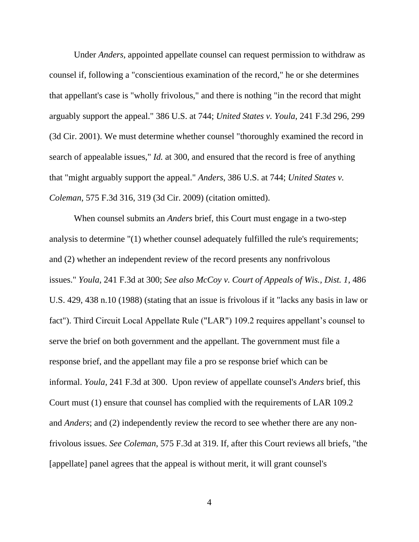Under *Anders*, appointed appellate counsel can request permission to withdraw as counsel if, following a "conscientious examination of the record," he or she determines that appellant's case is "wholly frivolous," and there is nothing "in the record that might arguably support the appeal." 386 U.S. at 744; *United States v. Youla*[, 241 F.3d 296, 299](https://plus.lexis.com/document/midlinetitle/?pdmfid=1530671&crid=05403121-f1d6-48fd-b069-1c6a6c872029&docfullpath=%2Fshared%2Fdocument%2Fcases%2Furn%3AcontentItem%3A636F-T5M1-K0HK-252X-00000-00&componentid=6387&prid=21d90a2a-fae4-4601-a631-c12f7600dca6&ecomp=_p_k&earg=sr2)  [\(3d Cir. 2001\).](https://plus.lexis.com/document/midlinetitle/?pdmfid=1530671&crid=05403121-f1d6-48fd-b069-1c6a6c872029&docfullpath=%2Fshared%2Fdocument%2Fcases%2Furn%3AcontentItem%3A636F-T5M1-K0HK-252X-00000-00&componentid=6387&prid=21d90a2a-fae4-4601-a631-c12f7600dca6&ecomp=_p_k&earg=sr2) We must determine whether counsel "thoroughly examined the record in search of appealable issues," *Id.* at 300, and ensured that the record is free of anything that "might arguably support the appeal." *Anders*, 386 U.S. at 744; *United States v. Coleman*, 575 F.3d 316, 319 (3d Cir. 2009) (citation omitted).

When counsel submits an *Anders* brief, this Court must engage in a two-step analysis to determine "(1) whether counsel adequately fulfilled the rule's requirements; and (2) whether an independent review of the record presents any nonfrivolous issues." *Youla*[, 241 F.3d at](https://plus.lexis.com/document/midlinetitle/?pdmfid=1530671&crid=05403121-f1d6-48fd-b069-1c6a6c872029&docfullpath=%2Fshared%2Fdocument%2Fcases%2Furn%3AcontentItem%3A636F-T5M1-K0HK-252X-00000-00&componentid=6387&prid=21d90a2a-fae4-4601-a631-c12f7600dca6&ecomp=_p_k&earg=sr2) 300; *See also [McCoy v. Court of Appeals of Wis., Dist. 1](https://plus.lexis.com/document/midlinetitle/?pdmfid=1530671&crid=05403121-f1d6-48fd-b069-1c6a6c872029&docfullpath=%2Fshared%2Fdocument%2Fcases%2Furn%3AcontentItem%3A636F-T5M1-K0HK-252X-00000-00&componentid=6387&prid=21d90a2a-fae4-4601-a631-c12f7600dca6&ecomp=_p_k&earg=sr2)*, 486 [U.S. 429, 438 n.10 \(1988\)](https://plus.lexis.com/document/midlinetitle/?pdmfid=1530671&crid=05403121-f1d6-48fd-b069-1c6a6c872029&docfullpath=%2Fshared%2Fdocument%2Fcases%2Furn%3AcontentItem%3A636F-T5M1-K0HK-252X-00000-00&componentid=6387&prid=21d90a2a-fae4-4601-a631-c12f7600dca6&ecomp=_p_k&earg=sr2) (stating that an issue is frivolous if it "lacks any basis in law or fact"). Third Circuit Local Appellate Rule ("LAR") 109.2 requires appellant's counsel to serve the brief on both government and the appellant. The government must file a response brief, and the appellant may file a pro se response brief which can be informal. *Youla*[, 241 F.3d at](https://plus.lexis.com/document/midlinetitle/?pdmfid=1530671&crid=05403121-f1d6-48fd-b069-1c6a6c872029&docfullpath=%2Fshared%2Fdocument%2Fcases%2Furn%3AcontentItem%3A636F-T5M1-K0HK-252X-00000-00&componentid=6387&prid=21d90a2a-fae4-4601-a631-c12f7600dca6&ecomp=_p_k&earg=sr2) 300. Upon review of appellate counsel's *Anders* brief, this Court must (1) ensure that counsel has complied with the requirements of LAR 109.2 and *Anders*; and (2) independently review the record to see whether there are any nonfrivolous issues. *See Coleman*, 575 F.3d at 319. If, after this Court reviews all briefs, "the [appellate] panel agrees that the appeal is without merit, it will grant counsel's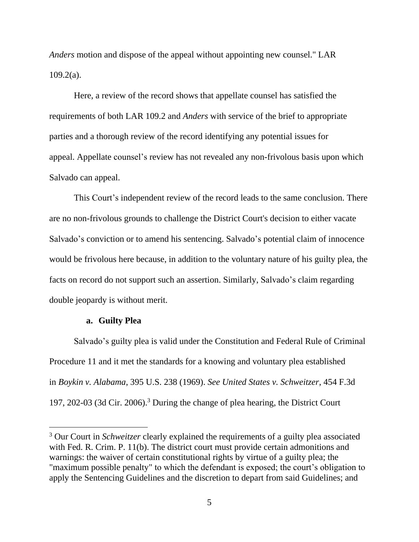*Anders* motion and dispose of the appeal without appointing new counsel." LAR 109.2(a).

Here, a review of the record shows that appellate counsel has satisfied the requirements of both LAR 109.2 and *Anders* with service of the brief to appropriate parties and a thorough review of the record identifying any potential issues for appeal. Appellate counsel's review has not revealed any non-frivolous basis upon which Salvado can appeal.

This Court's independent review of the record leads to the same conclusion. There are no non-frivolous grounds to challenge the District Court's decision to either vacate Salvado's conviction or to amend his sentencing. Salvado's potential claim of innocence would be frivolous here because, in addition to the voluntary nature of his guilty plea, the facts on record do not support such an assertion. Similarly, Salvado's claim regarding double jeopardy is without merit.

# **a. Guilty Plea**

Salvado's guilty plea is valid under the Constitution and Federal Rule of Criminal Procedure 11 and it met the standards for a knowing and voluntary plea established in *Boykin v. Alabama*, 395 U.S. 238 (1969). *See United States v. Schweitzer*, 454 F.3d 197, 202-03 (3d Cir. 2006).<sup>3</sup> During the change of plea hearing, the District Court

<sup>3</sup> Our Court in *Schweitzer* clearly explained the requirements of a guilty plea associated with Fed. R. Crim. P. 11(b). The district court must provide certain admonitions and warnings: the waiver of certain constitutional rights by virtue of a guilty plea; the "maximum possible penalty" to which the defendant is exposed; the court's obligation to apply the Sentencing Guidelines and the discretion to depart from said Guidelines; and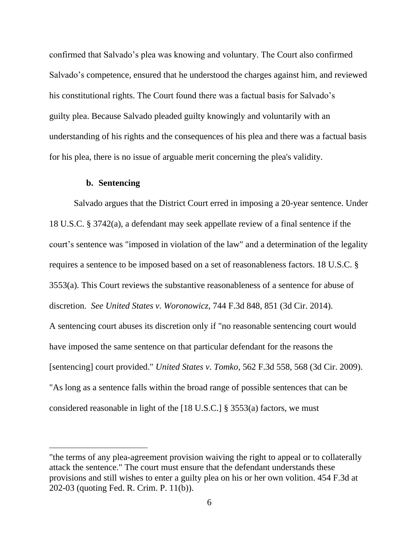confirmed that Salvado's plea was knowing and voluntary. The Court also confirmed Salvado's competence, ensured that he understood the charges against him, and reviewed his constitutional rights. The Court found there was a factual basis for Salvado's guilty plea. Because Salvado pleaded guilty knowingly and voluntarily with an understanding of his rights and the consequences of his plea and there was a factual basis for his plea, there is no issue of arguable merit concerning the plea's validity.

### **b. Sentencing**

Salvado argues that the District Court erred in imposing a 20-year sentence. Under 18 U.S.C. § 3742(a), a defendant may seek appellate review of a final sentence if the court's sentence was "imposed in violation of the law" and a determination of the legality requires a sentence to be imposed based on a set of reasonableness factors. 18 U.S.C. § 3553(a). This Court reviews the substantive reasonableness of a sentence for abuse of discretion. *See United States v. Woronowicz*, 744 F.3d 848, 851 (3d Cir. 2014). A sentencing court abuses its discretion only if "no reasonable sentencing court would have imposed the same sentence on that particular defendant for the reasons the [sentencing] court provided." *United States v. Tomko*, 562 F.3d 558, 568 (3d Cir. 2009). "As long as a sentence falls within the broad range of possible sentences that can be considered reasonable in light of the [18 U.S.C.] § 3553(a) factors, we must

<sup>&</sup>quot;the terms of any plea-agreement provision waiving the right to appeal or to collaterally attack the sentence." The court must ensure that the defendant understands these provisions and still wishes to enter a guilty plea on his or her own volition. 454 F.3d at 202-03 (quoting Fed. R. Crim. P. 11(b)).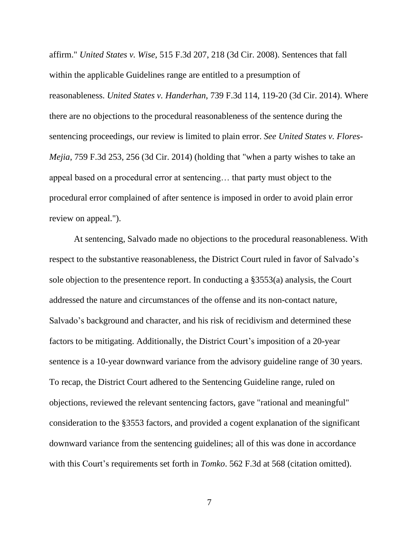affirm." *United States v. Wise*, 515 F.3d 207, 218 (3d Cir. 2008). Sentences that fall within the applicable Guidelines range are entitled to a presumption of reasonableness. *United States v. Handerhan*, 739 F.3d 114, 119-20 (3d Cir. 2014). Where there are no objections to the procedural reasonableness of the sentence during the sentencing proceedings, our review is limited to plain error. *See United States v. Flores-Mejia*, 759 F.3d 253, 256 (3d Cir. 2014) (holding that "when a party wishes to take an appeal based on a procedural error at sentencing… that party must object to the procedural error complained of after sentence is imposed in order to avoid plain error review on appeal.").

At sentencing, Salvado made no objections to the procedural reasonableness. With respect to the substantive reasonableness, the District Court ruled in favor of Salvado's sole objection to the presentence report. In conducting a §3553(a) analysis, the Court addressed the nature and circumstances of the offense and its non-contact nature, Salvado's background and character, and his risk of recidivism and determined these factors to be mitigating. Additionally, the District Court's imposition of a 20-year sentence is a 10-year downward variance from the advisory guideline range of 30 years. To recap, the District Court adhered to the Sentencing Guideline range, ruled on objections, reviewed the relevant sentencing factors, gave "rational and meaningful" consideration to the §3553 factors, and provided a cogent explanation of the significant downward variance from the sentencing guidelines; all of this was done in accordance with this Court's requirements set forth in *Tomko*. 562 F.3d at 568 (citation omitted).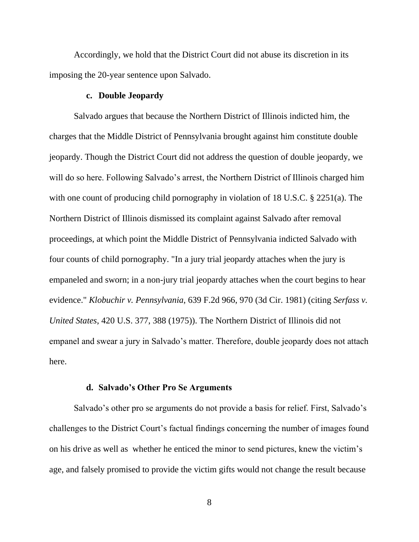Accordingly, we hold that the District Court did not abuse its discretion in its imposing the 20-year sentence upon Salvado.

### **c. Double Jeopardy**

Salvado argues that because the Northern District of Illinois indicted him, the charges that the Middle District of Pennsylvania brought against him constitute double jeopardy. Though the District Court did not address the question of double jeopardy, we will do so here. Following Salvado's arrest, the Northern District of Illinois charged him with one count of producing child pornography in violation of 18 U.S.C. § 2251(a). The Northern District of Illinois dismissed its complaint against Salvado after removal proceedings, at which point the Middle District of Pennsylvania indicted Salvado with four counts of child pornography. "In a jury trial jeopardy attaches when the jury is empaneled and sworn; in a non-jury trial jeopardy attaches when the court begins to hear evidence." *Klobuchir v. Pennsylvania*, 639 F.2d 966, 970 (3d Cir. 1981) (citing *Serfass v. United States*, 420 U.S. 377, 388 (1975)). The Northern District of Illinois did not empanel and swear a jury in Salvado's matter. Therefore, double jeopardy does not attach here.

# **d. Salvado's Other Pro Se Arguments**

Salvado's other pro se arguments do not provide a basis for relief. First, Salvado's challenges to the District Court's factual findings concerning the number of images found on his drive as well as whether he enticed the minor to send pictures, knew the victim's age, and falsely promised to provide the victim gifts would not change the result because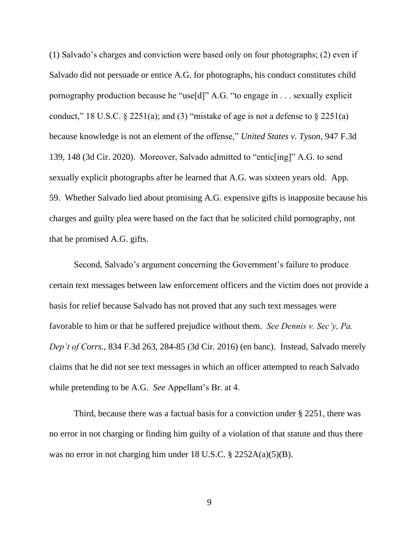(1) Salvado's charges and conviction were based only on four photographs; (2) even if Salvado did not persuade or entice A.G. for photographs, his conduct constitutes child pornography production because he "use[d]" A.G. "to engage in . . . sexually explicit conduct," 18 U.S.C.  $\S 2251(a)$ ; and (3) "mistake of age is not a defense to  $\S 2251(a)$ because knowledge is not an element of the offense," *United States v. Tyson*, 947 F.3d 139, 148 (3d Cir. 2020). Moreover, Salvado admitted to "entic[ing]" A.G. to send sexually explicit photographs after he learned that A.G. was sixteen years old. App. 59. Whether Salvado lied about promising A.G. expensive gifts is inapposite because his charges and guilty plea were based on the fact that he solicited child pornography, not that he promised A.G. gifts.

Second, Salvado's argument concerning the Government's failure to produce certain text messages between law enforcement officers and the victim does not provide a basis for relief because Salvado has not proved that any such text messages were favorable to him or that he suffered prejudice without them. *See Dennis v. Sec'y, Pa. Dep't of Corrs.*, 834 F.3d 263, 284-85 (3d Cir. 2016) (en banc). Instead, Salvado merely claims that he did not see text messages in which an officer attempted to reach Salvado while pretending to be A.G. *See* Appellant's Br. at 4.

Third, because there was a factual basis for a conviction under § 2251, there was no error in not charging or finding him guilty of a violation of that statute and thus there was no error in not charging him under 18 U.S.C. § 2252A(a)(5)(B).